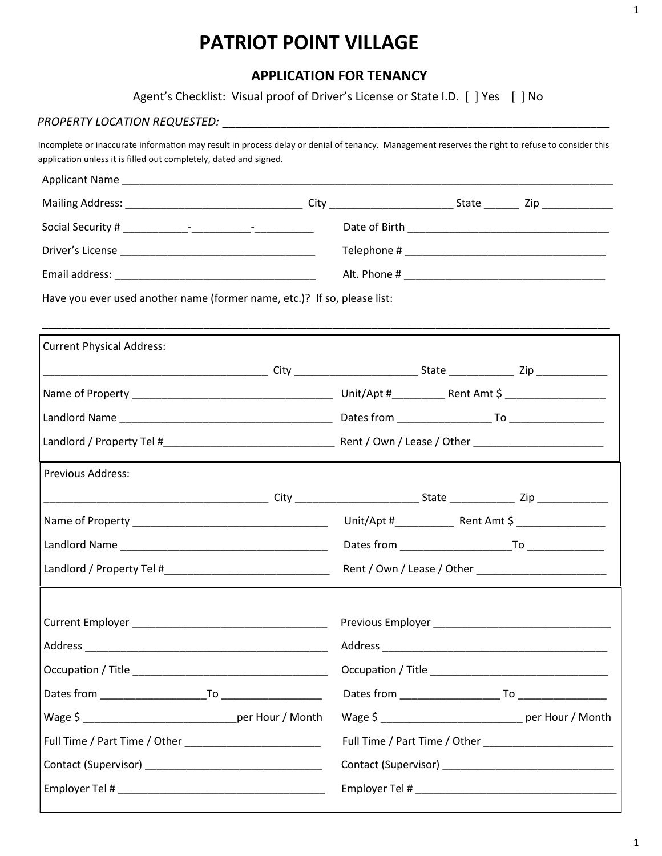## **PATRIOT POINT VILLAGE**

## **APPLICATION FOR TENANCY**

Agent's Checklist: Visual proof of Driver's License or State I.D. [ ] Yes [ ] No

## *PROPERTY LOCATION REQUESTED:* \_\_\_\_\_\_\_\_\_\_\_\_\_\_\_\_\_\_\_\_\_\_\_\_\_\_\_\_\_\_\_\_\_\_\_\_\_\_\_\_\_\_\_\_\_\_\_\_\_\_\_\_\_\_\_\_\_\_\_\_

 Incomplete or inaccurate information may result in process delay or denial of tenancy. Management reserves the right to refuse to consider this application unless it is filled out completely, dated and signed.

| Have you ever used another name (former name, etc.)? If so, please list: |                                                            |  |  |
|--------------------------------------------------------------------------|------------------------------------------------------------|--|--|
| <b>Current Physical Address:</b>                                         |                                                            |  |  |
|                                                                          |                                                            |  |  |
|                                                                          |                                                            |  |  |
|                                                                          |                                                            |  |  |
|                                                                          |                                                            |  |  |
| Previous Address:                                                        |                                                            |  |  |
|                                                                          |                                                            |  |  |
|                                                                          |                                                            |  |  |
|                                                                          |                                                            |  |  |
|                                                                          |                                                            |  |  |
|                                                                          |                                                            |  |  |
|                                                                          |                                                            |  |  |
|                                                                          |                                                            |  |  |
|                                                                          |                                                            |  |  |
|                                                                          | Wage \$ _________________________________ per Hour / Month |  |  |
|                                                                          |                                                            |  |  |
|                                                                          |                                                            |  |  |
|                                                                          |                                                            |  |  |
|                                                                          |                                                            |  |  |